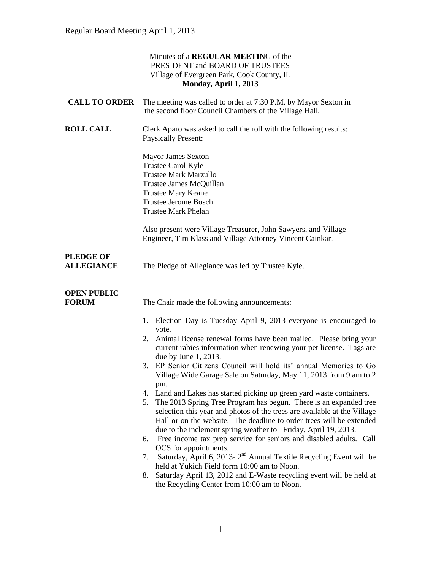|                                       | Minutes of a <b>REGULAR MEETING</b> of the<br>PRESIDENT and BOARD OF TRUSTEES<br>Village of Evergreen Park, Cook County, IL<br>Monday, April 1, 2013                                                                                                                                                                                                                                                                                                                                                                                                                                                                                                                                                                                                                                                                                                                                                                                                                                                                                                                                                                                                                                                    |
|---------------------------------------|---------------------------------------------------------------------------------------------------------------------------------------------------------------------------------------------------------------------------------------------------------------------------------------------------------------------------------------------------------------------------------------------------------------------------------------------------------------------------------------------------------------------------------------------------------------------------------------------------------------------------------------------------------------------------------------------------------------------------------------------------------------------------------------------------------------------------------------------------------------------------------------------------------------------------------------------------------------------------------------------------------------------------------------------------------------------------------------------------------------------------------------------------------------------------------------------------------|
| <b>CALL TO ORDER</b>                  | The meeting was called to order at 7:30 P.M. by Mayor Sexton in<br>the second floor Council Chambers of the Village Hall.                                                                                                                                                                                                                                                                                                                                                                                                                                                                                                                                                                                                                                                                                                                                                                                                                                                                                                                                                                                                                                                                               |
| <b>ROLL CALL</b>                      | Clerk Aparo was asked to call the roll with the following results:<br><b>Physically Present:</b>                                                                                                                                                                                                                                                                                                                                                                                                                                                                                                                                                                                                                                                                                                                                                                                                                                                                                                                                                                                                                                                                                                        |
|                                       | <b>Mayor James Sexton</b><br>Trustee Carol Kyle<br><b>Trustee Mark Marzullo</b><br>Trustee James McQuillan<br><b>Trustee Mary Keane</b><br><b>Trustee Jerome Bosch</b><br><b>Trustee Mark Phelan</b>                                                                                                                                                                                                                                                                                                                                                                                                                                                                                                                                                                                                                                                                                                                                                                                                                                                                                                                                                                                                    |
|                                       | Also present were Village Treasurer, John Sawyers, and Village<br>Engineer, Tim Klass and Village Attorney Vincent Cainkar.                                                                                                                                                                                                                                                                                                                                                                                                                                                                                                                                                                                                                                                                                                                                                                                                                                                                                                                                                                                                                                                                             |
| <b>PLEDGE OF</b><br><b>ALLEGIANCE</b> | The Pledge of Allegiance was led by Trustee Kyle.                                                                                                                                                                                                                                                                                                                                                                                                                                                                                                                                                                                                                                                                                                                                                                                                                                                                                                                                                                                                                                                                                                                                                       |
| <b>OPEN PUBLIC</b><br><b>FORUM</b>    | The Chair made the following announcements:<br>1. Election Day is Tuesday April 9, 2013 everyone is encouraged to<br>vote.<br>Animal license renewal forms have been mailed. Please bring your<br>2.<br>current rabies information when renewing your pet license. Tags are<br>due by June 1, 2013.<br>3. EP Senior Citizens Council will hold its' annual Memories to Go<br>Village Wide Garage Sale on Saturday, May 11, 2013 from 9 am to 2<br>pm.<br>4. Land and Lakes has started picking up green yard waste containers.<br>The 2013 Spring Tree Program has begun. There is an expanded tree<br>5.<br>selection this year and photos of the trees are available at the Village<br>Hall or on the website. The deadline to order trees will be extended<br>due to the inclement spring weather to Friday, April 19, 2013.<br>Free income tax prep service for seniors and disabled adults. Call<br>6.<br>OCS for appointments.<br>Saturday, April 6, 2013-2 <sup>nd</sup> Annual Textile Recycling Event will be<br>7.<br>held at Yukich Field form 10:00 am to Noon.<br>Saturday April 13, 2012 and E-Waste recycling event will be held at<br>8.<br>the Recycling Center from 10:00 am to Noon. |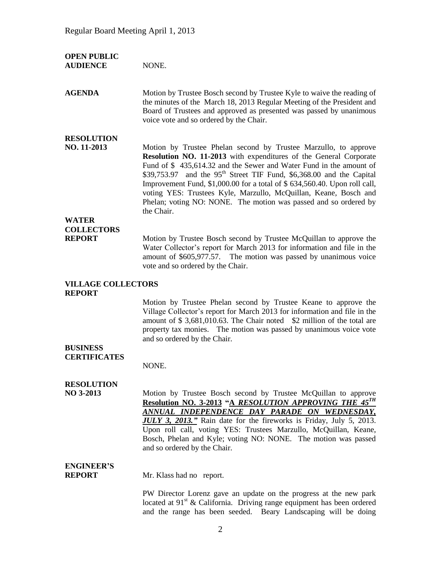| <b>OPEN PUBLIC</b><br><b>AUDIENCE</b>      | NONE.                                                                                                                                                                                                                                                                                                                                                                                                                                                                                                                             |
|--------------------------------------------|-----------------------------------------------------------------------------------------------------------------------------------------------------------------------------------------------------------------------------------------------------------------------------------------------------------------------------------------------------------------------------------------------------------------------------------------------------------------------------------------------------------------------------------|
| <b>AGENDA</b>                              | Motion by Trustee Bosch second by Trustee Kyle to waive the reading of<br>the minutes of the March 18, 2013 Regular Meeting of the President and<br>Board of Trustees and approved as presented was passed by unanimous<br>voice vote and so ordered by the Chair.                                                                                                                                                                                                                                                                |
| <b>RESOLUTION</b><br>NO. 11-2013           | Motion by Trustee Phelan second by Trustee Marzullo, to approve<br>Resolution NO. 11-2013 with expenditures of the General Corporate<br>Fund of \$435,614.32 and the Sewer and Water Fund in the amount of<br>\$39,753.97 and the 95 <sup>th</sup> Street TIF Fund, \$6,368.00 and the Capital<br>Improvement Fund, \$1,000.00 for a total of \$634,560.40. Upon roll call,<br>voting YES: Trustees Kyle, Marzullo, McQuillan, Keane, Bosch and<br>Phelan; voting NO: NONE. The motion was passed and so ordered by<br>the Chair. |
| <b>WATER</b>                               |                                                                                                                                                                                                                                                                                                                                                                                                                                                                                                                                   |
| <b>COLLECTORS</b><br><b>REPORT</b>         | Motion by Trustee Bosch second by Trustee McQuillan to approve the<br>Water Collector's report for March 2013 for information and file in the<br>amount of \$605,977.57. The motion was passed by unanimous voice<br>vote and so ordered by the Chair.                                                                                                                                                                                                                                                                            |
| <b>VILLAGE COLLECTORS</b><br><b>REPORT</b> |                                                                                                                                                                                                                                                                                                                                                                                                                                                                                                                                   |
|                                            | Motion by Trustee Phelan second by Trustee Keane to approve the<br>Village Collector's report for March 2013 for information and file in the<br>amount of \$3,681,010.63. The Chair noted \$2 million of the total are<br>property tax monies. The motion was passed by unanimous voice vote<br>and so ordered by the Chair.                                                                                                                                                                                                      |
| <b>BUSINESS</b><br><b>CERTIFICATES</b>     | NONE.                                                                                                                                                                                                                                                                                                                                                                                                                                                                                                                             |
| <b>RESOLUTION</b><br>NO 3-2013             | Motion by Trustee Bosch second by Trustee McQuillan to approve<br>Resolution NO. 3-2013 "A RESOLUTION APPROVING THE 45TH<br>ANNUAL INDEPENDENCE DAY PARADE ON WEDNESDAY,<br><b>JULY 3, 2013.</b> " Rain date for the fireworks is Friday, July 5, 2013.<br>Upon roll call, voting YES: Trustees Marzullo, McQuillan, Keane,<br>Bosch, Phelan and Kyle; voting NO: NONE. The motion was passed<br>and so ordered by the Chair.                                                                                                     |
| <b>ENGINEER'S</b><br><b>REPORT</b>         | Mr. Klass had no report.                                                                                                                                                                                                                                                                                                                                                                                                                                                                                                          |
|                                            | PW Director Lorenz gave an update on the progress at the new park<br>located at $91st$ & California. Driving range equipment has been ordered<br>and the range has been seeded. Beary Landscaping will be doing                                                                                                                                                                                                                                                                                                                   |